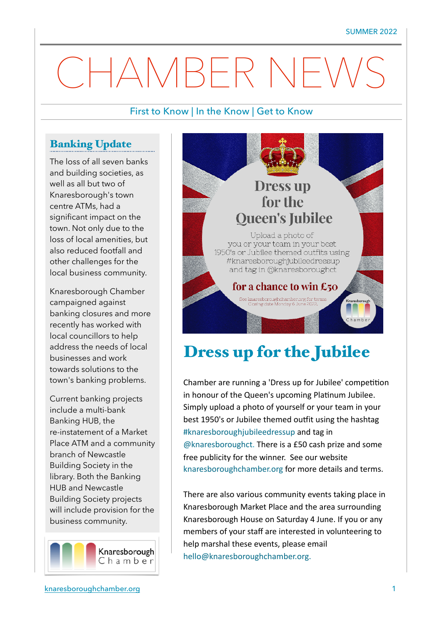# CHAMBER NEW

#### First to Know | In the Know | Get to Know

#### Banking Update

The loss of all seven banks and building societies, as well as all but two of Knaresborough's town centre ATMs, had a significant impact on the town. Not only due to the loss of local amenities, but also reduced footfall and other challenges for the local business community.

Knaresborough Chamber campaigned against banking closures and more recently has worked with local councillors to help address the needs of local businesses and work towards solutions to the town's banking problems.

Current banking projects include a multi-bank Banking HUB, the re-instatement of a Market Place ATM and a community branch of Newcastle Building Society in the library. Both the Banking HUB and Newcastle Building Society projects will include provision for the business community.





# Dress up for the Jubilee

Chamber are running a 'Dress up for Jubilee' competition in honour of the Queen's upcoming Platinum Jubilee. Simply upload a photo of yourself or your team in your best 1950's or Jubilee themed outfit using the hashtag #knaresboroughjubileedressup and tag in @knaresboroughct. There is a £50 cash prize and some free publicity for the winner. See our website knaresboroughchamber.org for more details and terms.

There are also various community events taking place in Knaresborough Market Place and the area surrounding Knaresborough House on Saturday 4 June. If you or any members of your staff are interested in volunteering to help marshal these events, please email hello@knaresboroughchamber.org.

Ï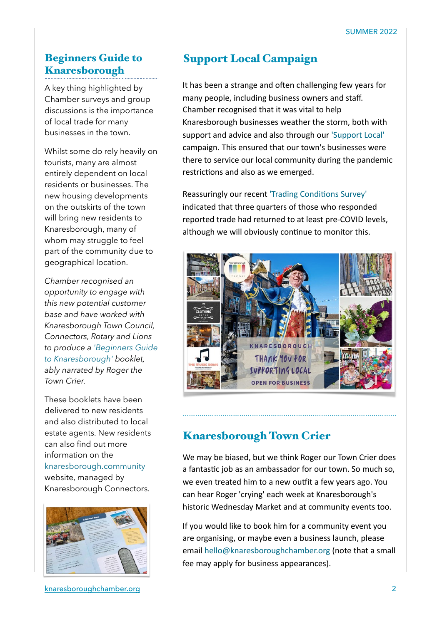#### Beginners Guide to Knaresborough

A key thing highlighted by Chamber surveys and group discussions is the importance of local trade for many businesses in the town.

Whilst some do rely heavily on tourists, many are almost entirely dependent on local residents or businesses. The new housing developments on the outskirts of the town will bring new residents to Knaresborough, many of whom may struggle to feel part of the community due to geographical location.

*Chamber recognised an opportunity to engage with this new potential customer base and have worked with Knaresborough Town Council, Connectors, Rotary and Lions to produce a 'Beginners Guide to Knaresborough' booklet, ably narrated by Roger the Town Crier.* 

These booklets have been delivered to new residents and also distributed to local estate agents. New residents can also find out more information on the knaresborough.community website, managed by Knaresborough Connectors.



[knaresboroughchamber.org](http://knaresboroughchamber.org) 2

# Support Local Campaign

It has been a strange and often challenging few years for many people, including business owners and staff. Chamber recognised that it was vital to help Knaresborough businesses weather the storm, both with support and advice and also through our 'Support Local' campaign. This ensured that our town's businesses were there to service our local community during the pandemic restrictions and also as we emerged.

Reassuringly our recent 'Trading Conditions Survey' indicated that three quarters of those who responded reported trade had returned to at least pre-COVID levels, although we will obviously continue to monitor this.



# Knaresborough Town Crier

We may be biased, but we think Roger our Town Crier does a fantastic job as an ambassador for our town. So much so, we even treated him to a new outfit a few years ago. You can hear Roger 'crying' each week at Knaresborough's historic Wednesday Market and at community events too.

…………………………………………………………………………………………

If you would like to book him for a community event you are organising, or maybe even a business launch, please email hello@knaresboroughchamber.org (note that a small fee may apply for business appearances).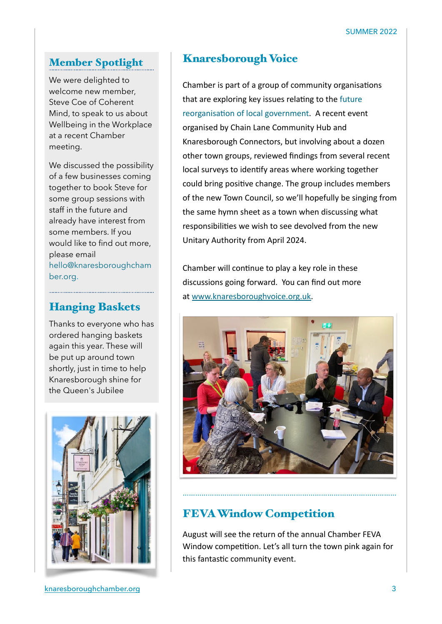#### Member Spotlight

We were delighted to welcome new member, Steve Coe of Coherent Mind, to speak to us about Wellbeing in the Workplace at a recent Chamber meeting.

We discussed the possibility of a few businesses coming together to book Steve for some group sessions with staff in the future and already have interest from some members. If you would like to find out more, please email hello@knaresboroughcham ber.org.

#### Hanging Baskets

Thanks to everyone who has ordered hanging baskets again this year. These will be put up around town shortly, just in time to help Knaresborough shine for the Queen's Jubilee



#### Knaresborough Voice

Chamber is part of a group of community organisations that are exploring key issues relating to the future reorganisation of local government. A recent event organised by Chain Lane Community Hub and Knaresborough Connectors, but involving about a dozen other town groups, reviewed findings from several recent local surveys to identify areas where working together could bring positive change. The group includes members of the new Town Council, so we'll hopefully be singing from the same hymn sheet as a town when discussing what responsibilities we wish to see devolved from the new Unitary Authority from April 2024.

Chamber will continue to play a key role in these discussions going forward. You can find out more at [www.knaresboroughvoice.org.uk.](http://www.knaresboroughvoice.org.uk/)



# FEVA Window Competition

August will see the return of the annual Chamber FEVA Window competition. Let's all turn the town pink again for this fantastic community event.

…………………………………………………………………………………………